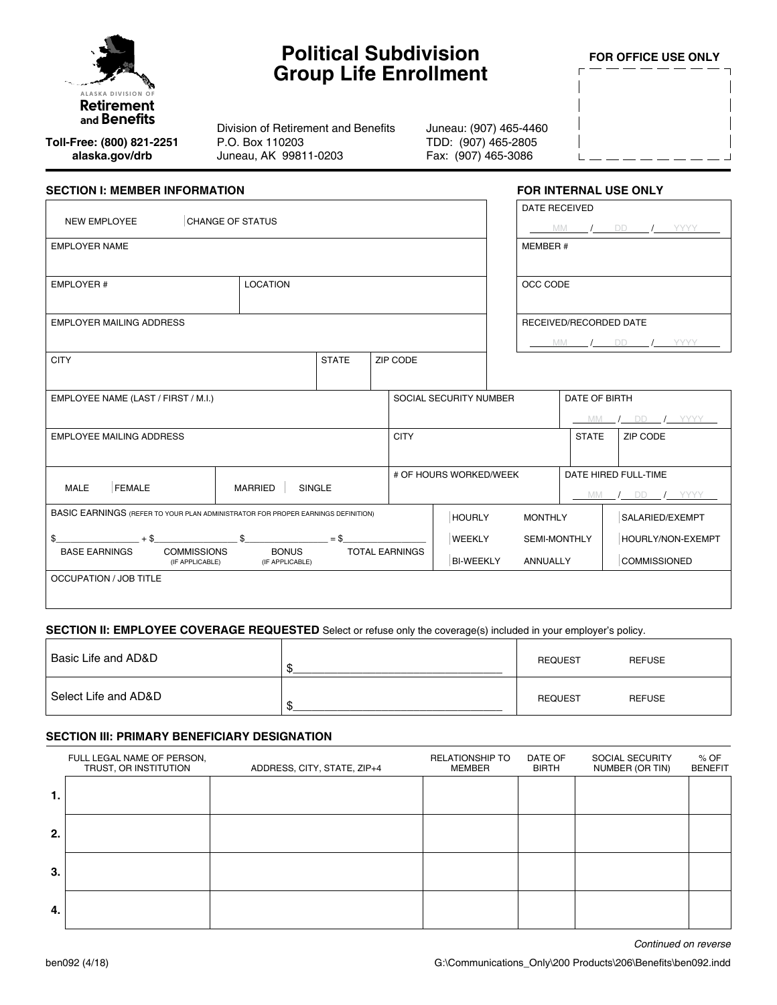

# **Political Subdivision Group Life Enrollment**

**FOR OFFICE USE ONLY**

**Toll-Free: (800) 821-2251 alaska.gov/drb**

Division of Retirement and Benefits P.O. Box 110203 Juneau, AK 99811-0203

Juneau: (907) 465-4460 TDD: (907) 465-2805 Fax: (907) 465-3086

| <b>SECTION I: MEMBER INFORMATION</b>                                             |                                       |              |                       |                                   | <b>FOR INTERNAL USE ONLY</b>           |                                                                 |                                             |
|----------------------------------------------------------------------------------|---------------------------------------|--------------|-----------------------|-----------------------------------|----------------------------------------|-----------------------------------------------------------------|---------------------------------------------|
| <b>NEW EMPLOYEE</b>                                                              | <b>CHANGE OF STATUS</b>               |              |                       |                                   | <b>DATE RECEIVED</b>                   | MM                                                              | $I$ YYYY<br>DD a                            |
| <b>EMPLOYER NAME</b>                                                             |                                       |              |                       |                                   | MEMBER #                               |                                                                 |                                             |
| <b>LOCATION</b><br>EMPLOYER #                                                    |                                       |              |                       |                                   | OCC CODE                               |                                                                 |                                             |
| <b>EMPLOYER MAILING ADDRESS</b>                                                  |                                       |              |                       |                                   |                                        | RECEIVED/RECORDED DATE<br><b>MM</b><br><b>DD</b><br><b>YYYY</b> |                                             |
| <b>CITY</b>                                                                      |                                       | <b>STATE</b> | ZIP CODE              |                                   |                                        |                                                                 |                                             |
| EMPLOYEE NAME (LAST / FIRST / M.I.)                                              |                                       |              |                       | SOCIAL SECURITY NUMBER            |                                        | DATE OF BIRTH<br><b>MM</b>                                      | $I$ YYYY<br>DD.                             |
| <b>EMPLOYEE MAILING ADDRESS</b>                                                  |                                       |              | <b>CITY</b>           |                                   |                                        | <b>STATE</b>                                                    | ZIP CODE                                    |
| <b>FEMALE</b><br><b>MALE</b>                                                     | <b>SINGLE</b><br><b>MARRIED</b>       |              |                       | # OF HOURS WORKED/WEEK            |                                        |                                                                 | DATE HIRED FULL-TIME<br>DD / YYYY<br>$MM$ / |
| BASIC EARNINGS (REFER TO YOUR PLAN ADMINISTRATOR FOR PROPER EARNINGS DEFINITION) |                                       |              |                       | <b>HOURLY</b>                     | <b>MONTHLY</b>                         |                                                                 | SALARIED/EXEMPT                             |
| \$<br>$+ $$<br><b>COMMISSIONS</b><br><b>BASE EARNINGS</b><br>(IF APPLICABLE)     | \$<br><b>BONUS</b><br>(IF APPLICABLE) | $=$ \$       | <b>TOTAL EARNINGS</b> | <b>WEEKLY</b><br><b>BI-WEEKLY</b> | <b>SEMI-MONTHLY</b><br><b>ANNUALLY</b> |                                                                 | HOURLY/NON-EXEMPT<br><b>COMMISSIONED</b>    |
| OCCUPATION / JOB TITLE                                                           |                                       |              |                       |                                   |                                        |                                                                 |                                             |

## **SECTION II: EMPLOYEE COVERAGE REQUESTED** Select or refuse only the coverage(s) included in your employer's policy.

| Basic Life and AD&D  |   | <b>REQUEST</b> | <b>REFUSE</b> |
|----------------------|---|----------------|---------------|
| Select Life and AD&D | Œ | <b>REQUEST</b> | <b>REFUSE</b> |

## **SECTION III: PRIMARY BENEFICIARY DESIGNATION**

|    | FULL LEGAL NAME OF PERSON,<br>TRUST, OR INSTITUTION | ADDRESS, CITY, STATE, ZIP+4 | <b>RELATIONSHIP TO</b><br><b>MEMBER</b> | DATE OF<br><b>BIRTH</b> | SOCIAL SECURITY<br>NUMBER (OR TIN) | % OF<br><b>BENEFIT</b> |
|----|-----------------------------------------------------|-----------------------------|-----------------------------------------|-------------------------|------------------------------------|------------------------|
| 1. |                                                     |                             |                                         |                         |                                    |                        |
| 2. |                                                     |                             |                                         |                         |                                    |                        |
| 3. |                                                     |                             |                                         |                         |                                    |                        |
| 4. |                                                     |                             |                                         |                         |                                    |                        |